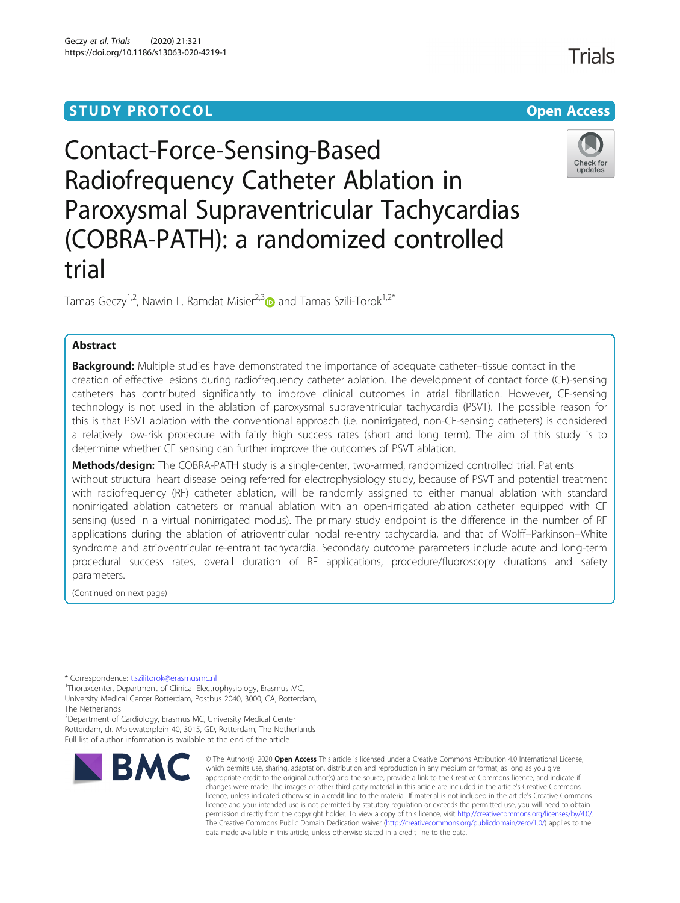## **STUDY PROTOCOL CONSUMING THE CONSUMING OPEN ACCESS**

# Contact-Force-Sensing-Based Radiofrequency Catheter Ablation in Paroxysmal Supraventricular Tachycardias (COBRA-PATH): a randomized controlled



Tamas Geczy<sup>1,2</sup>, Nawin L. Ramdat Misier<sup>2,[3](http://orcid.org/0000-0002-4992-2802)</sup> and Tamas Szili-Torok<sup>1,2\*</sup>

### Abstract

trial

**Background:** Multiple studies have demonstrated the importance of adequate catheter–tissue contact in the creation of effective lesions during radiofrequency catheter ablation. The development of contact force (CF)-sensing catheters has contributed significantly to improve clinical outcomes in atrial fibrillation. However, CF-sensing technology is not used in the ablation of paroxysmal supraventricular tachycardia (PSVT). The possible reason for this is that PSVT ablation with the conventional approach (i.e. nonirrigated, non-CF-sensing catheters) is considered a relatively low-risk procedure with fairly high success rates (short and long term). The aim of this study is to determine whether CF sensing can further improve the outcomes of PSVT ablation.

Methods/design: The COBRA-PATH study is a single-center, two-armed, randomized controlled trial. Patients without structural heart disease being referred for electrophysiology study, because of PSVT and potential treatment with radiofrequency (RF) catheter ablation, will be randomly assigned to either manual ablation with standard nonirrigated ablation catheters or manual ablation with an open-irrigated ablation catheter equipped with CF sensing (used in a virtual nonirrigated modus). The primary study endpoint is the difference in the number of RF applications during the ablation of atrioventricular nodal re-entry tachycardia, and that of Wolff–Parkinson–White syndrome and atrioventricular re-entrant tachycardia. Secondary outcome parameters include acute and long-term procedural success rates, overall duration of RF applications, procedure/fluoroscopy durations and safety parameters.

(Continued on next page)

\* Correspondence: [t.szilitorok@erasmusmc.nl](mailto:t.szilitorok@erasmusmc.nl) <sup>1</sup>

<sup>1</sup>Thoraxcenter, Department of Clinical Electrophysiology, Erasmus MC, University Medical Center Rotterdam, Postbus 2040, 3000, CA, Rotterdam, The Netherlands

<sup>2</sup> Department of Cardiology, Erasmus MC, University Medical Center Rotterdam, dr. Molewaterplein 40, 3015, GD, Rotterdam, The Netherlands Full list of author information is available at the end of the article



© The Author(s), 2020 **Open Access** This article is licensed under a Creative Commons Attribution 4.0 International License, which permits use, sharing, adaptation, distribution and reproduction in any medium or format, as long as you give appropriate credit to the original author(s) and the source, provide a link to the Creative Commons licence, and indicate if changes were made. The images or other third party material in this article are included in the article's Creative Commons licence, unless indicated otherwise in a credit line to the material. If material is not included in the article's Creative Commons licence and your intended use is not permitted by statutory regulation or exceeds the permitted use, you will need to obtain permission directly from the copyright holder. To view a copy of this licence, visit [http://creativecommons.org/licenses/by/4.0/.](http://creativecommons.org/licenses/by/4.0/) The Creative Commons Public Domain Dedication waiver [\(http://creativecommons.org/publicdomain/zero/1.0/](http://creativecommons.org/publicdomain/zero/1.0/)) applies to the data made available in this article, unless otherwise stated in a credit line to the data.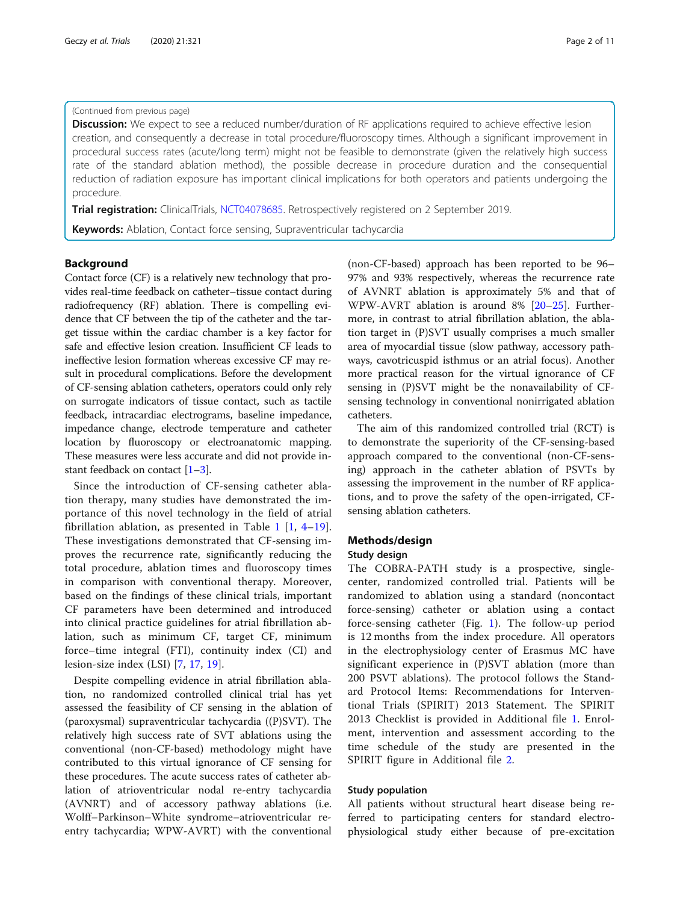#### <span id="page-1-0"></span>(Continued from previous page)

**Discussion:** We expect to see a reduced number/duration of RF applications required to achieve effective lesion creation, and consequently a decrease in total procedure/fluoroscopy times. Although a significant improvement in procedural success rates (acute/long term) might not be feasible to demonstrate (given the relatively high success rate of the standard ablation method), the possible decrease in procedure duration and the consequential reduction of radiation exposure has important clinical implications for both operators and patients undergoing the procedure.

Trial registration: ClinicalTrials, [NCT04078685](https://clinicaltrials.gov/ct2/show/NCT04078685). Retrospectively registered on 2 September 2019.

Keywords: Ablation, Contact force sensing, Supraventricular tachycardia

#### Background

Contact force (CF) is a relatively new technology that provides real-time feedback on catheter–tissue contact during radiofrequency (RF) ablation. There is compelling evidence that CF between the tip of the catheter and the target tissue within the cardiac chamber is a key factor for safe and effective lesion creation. Insufficient CF leads to ineffective lesion formation whereas excessive CF may result in procedural complications. Before the development of CF-sensing ablation catheters, operators could only rely on surrogate indicators of tissue contact, such as tactile feedback, intracardiac electrograms, baseline impedance, impedance change, electrode temperature and catheter location by fluoroscopy or electroanatomic mapping. These measures were less accurate and did not provide instant feedback on contact  $[1-3]$  $[1-3]$  $[1-3]$  $[1-3]$  $[1-3]$ .

Since the introduction of CF-sensing catheter ablation therapy, many studies have demonstrated the importance of this novel technology in the field of atrial fibrillation ablation, as presented in Table [1](#page-2-0) [[1,](#page-9-0) [4](#page-9-0)–[19](#page-9-0)]. These investigations demonstrated that CF-sensing improves the recurrence rate, significantly reducing the total procedure, ablation times and fluoroscopy times in comparison with conventional therapy. Moreover, based on the findings of these clinical trials, important CF parameters have been determined and introduced into clinical practice guidelines for atrial fibrillation ablation, such as minimum CF, target CF, minimum force–time integral (FTI), continuity index (CI) and lesion-size index (LSI) [[7,](#page-9-0) [17,](#page-9-0) [19\]](#page-9-0).

Despite compelling evidence in atrial fibrillation ablation, no randomized controlled clinical trial has yet assessed the feasibility of CF sensing in the ablation of (paroxysmal) supraventricular tachycardia ((P)SVT). The relatively high success rate of SVT ablations using the conventional (non-CF-based) methodology might have contributed to this virtual ignorance of CF sensing for these procedures. The acute success rates of catheter ablation of atrioventricular nodal re-entry tachycardia (AVNRT) and of accessory pathway ablations (i.e. Wolff–Parkinson–White syndrome–atrioventricular reentry tachycardia; WPW-AVRT) with the conventional

(non-CF-based) approach has been reported to be 96– 97% and 93% respectively, whereas the recurrence rate of AVNRT ablation is approximately 5% and that of WPW-AVRT ablation is around 8% [\[20](#page-10-0)–[25\]](#page-10-0). Furthermore, in contrast to atrial fibrillation ablation, the ablation target in (P)SVT usually comprises a much smaller area of myocardial tissue (slow pathway, accessory pathways, cavotricuspid isthmus or an atrial focus). Another more practical reason for the virtual ignorance of CF sensing in (P)SVT might be the nonavailability of CFsensing technology in conventional nonirrigated ablation catheters.

The aim of this randomized controlled trial (RCT) is to demonstrate the superiority of the CF-sensing-based approach compared to the conventional (non-CF-sensing) approach in the catheter ablation of PSVTs by assessing the improvement in the number of RF applications, and to prove the safety of the open-irrigated, CFsensing ablation catheters.

#### Methods/design

#### Study design

The COBRA-PATH study is a prospective, singlecenter, randomized controlled trial. Patients will be randomized to ablation using a standard (noncontact force-sensing) catheter or ablation using a contact force-sensing catheter (Fig. [1](#page-3-0)). The follow-up period is 12 months from the index procedure. All operators in the electrophysiology center of Erasmus MC have significant experience in (P)SVT ablation (more than 200 PSVT ablations). The protocol follows the Standard Protocol Items: Recommendations for Interventional Trials (SPIRIT) 2013 Statement. The SPIRIT 2013 Checklist is provided in Additional file [1.](#page-9-0) Enrolment, intervention and assessment according to the time schedule of the study are presented in the SPIRIT figure in Additional file [2](#page-9-0).

#### Study population

All patients without structural heart disease being referred to participating centers for standard electrophysiological study either because of pre-excitation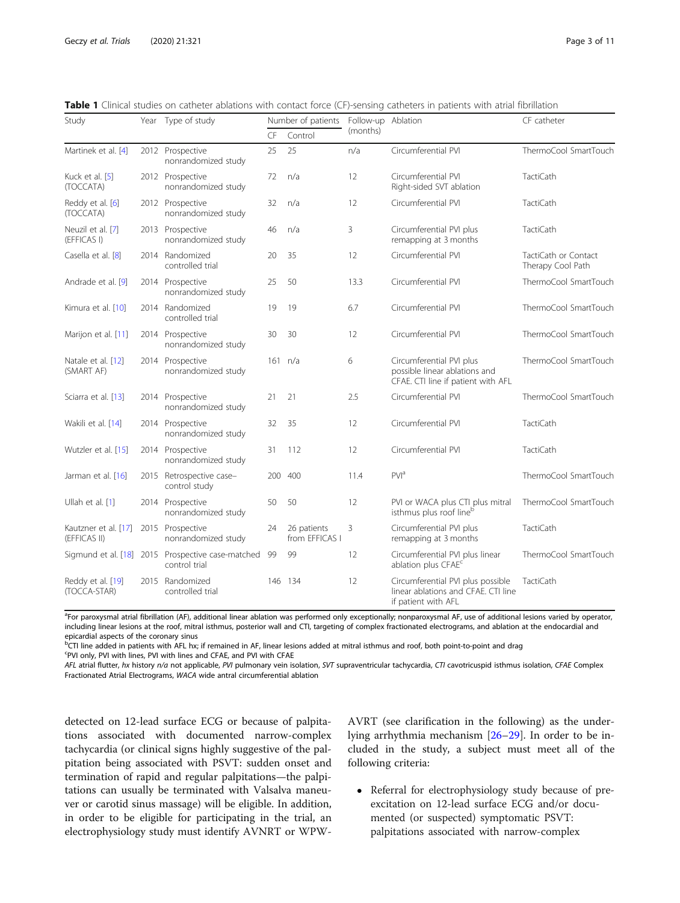<span id="page-2-0"></span>

| Table 1 Clinical studies on catheter ablations with contact force (CF)-sensing catheters in patients with atrial fibrillation |  |  |
|-------------------------------------------------------------------------------------------------------------------------------|--|--|
|-------------------------------------------------------------------------------------------------------------------------------|--|--|

| Study                                | Year Type of study                                                 | Number of patients |                               | Follow-up Ablation |                                                                                                 | CF catheter                               |
|--------------------------------------|--------------------------------------------------------------------|--------------------|-------------------------------|--------------------|-------------------------------------------------------------------------------------------------|-------------------------------------------|
|                                      |                                                                    | CF                 | Control                       | (months)           |                                                                                                 |                                           |
| Martinek et al. [4]                  | 2012 Prospective<br>nonrandomized study                            | 25                 | 25                            | n/a                | Circumferential PVI                                                                             | ThermoCool SmartTouch                     |
| Kuck et al. [5]<br>(TOCCATA)         | 2012 Prospective<br>nonrandomized study                            | 72                 | n/a                           | 12                 | Circumferential PVI<br>Right-sided SVT ablation                                                 | <b>TactiCath</b>                          |
| Reddy et al. [6]<br>(TOCCATA)        | 2012 Prospective<br>nonrandomized study                            | 32                 | n/a                           | 12                 | Circumferential PVI                                                                             | <b>TactiCath</b>                          |
| Neuzil et al. [7]<br>(EFFICAS I)     | 2013 Prospective<br>nonrandomized study                            | 46                 | n/a                           | 3                  | Circumferential PVI plus<br>remapping at 3 months                                               | <b>TactiCath</b>                          |
| Casella et al. [8]                   | 2014 Randomized<br>controlled trial                                | 20                 | 35                            | 12                 | Circumferential PVI                                                                             | TactiCath or Contact<br>Therapy Cool Path |
| Andrade et al. [9]                   | 2014 Prospective<br>nonrandomized study                            | 25                 | 50                            | 13.3               | Circumferential PVI                                                                             | ThermoCool SmartTouch                     |
| Kimura et al. [10]                   | 2014 Randomized<br>controlled trial                                | 19                 | 19                            | 6.7                | Circumferential PVI                                                                             | ThermoCool SmartTouch                     |
| Marijon et al. [11]                  | 2014 Prospective<br>nonrandomized study                            | 30                 | 30                            | 12                 | Circumferential PVI                                                                             | ThermoCool SmartTouch                     |
| Natale et al. [12]<br>(SMART AF)     | 2014 Prospective<br>nonrandomized study                            |                    | 161 n/a                       | 6                  | Circumferential PVI plus<br>possible linear ablations and<br>CFAE. CTI line if patient with AFL | ThermoCool SmartTouch                     |
| Sciarra et al. [13]                  | 2014 Prospective<br>nonrandomized study                            | 21                 | 21                            | 2.5                | Circumferential PVI                                                                             | ThermoCool SmartTouch                     |
| Wakili et al. [14]                   | 2014 Prospective<br>nonrandomized study                            | 32                 | 35                            | 12                 | Circumferential PVI                                                                             | <b>TactiCath</b>                          |
| Wutzler et al. [15]                  | 2014 Prospective<br>nonrandomized study                            | 31                 | 112                           | 12                 | Circumferential PVI                                                                             | <b>TactiCath</b>                          |
| Jarman et al. [16]                   | 2015 Retrospective case-<br>control study                          |                    | 200 400                       | 11.4               | PVI <sup>a</sup>                                                                                | ThermoCool SmartTouch                     |
| Ullah et al. [1]                     | 2014 Prospective<br>nonrandomized study                            | 50                 | 50                            | 12                 | PVI or WACA plus CTI plus mitral<br>isthmus plus roof lineb                                     | ThermoCool SmartTouch                     |
| Kautzner et al. [17]<br>(EFFICAS II) | 2015 Prospective<br>nonrandomized study                            | 24                 | 26 patients<br>from EFFICAS I | 3                  | Circumferential PVI plus<br>remapping at 3 months                                               | <b>TactiCath</b>                          |
|                                      | Sigmund et al. [18] 2015 Prospective case-matched<br>control trial | -99                | 99                            | 12                 | Circumferential PVI plus linear<br>ablation plus CFAE <sup>c</sup>                              | ThermoCool SmartTouch                     |
| Reddy et al. [19]<br>(TOCCA-STAR)    | 2015 Randomized<br>controlled trial                                |                    | 146 134                       | 12                 | Circumferential PVI plus possible<br>linear ablations and CFAE. CTI line<br>if patient with AFL | TactiCath                                 |

<sup>a</sup>For paroxysmal atrial fibrillation (AF), additional linear ablation was performed only exceptionally; nonparoxysmal AF, use of additional lesions varied by operator, including linear lesions at the roof, mitral isthmus, posterior wall and CTI, targeting of complex fractionated electrograms, and ablation at the endocardial and epicardial aspects of the coronary sinus

<sup>b</sup>CTI line added in patients with AFL hx; if remained in AF, linear lesions added at mitral isthmus and roof, both point-to-point and drag c PVI only, PVI with lines, PVI with lines and CFAE, and PVI with CFAE

AFL atrial flutter, hx history n/a not applicable, PVI pulmonary vein isolation, SVT supraventricular tachycardia, CTI cavotricuspid isthmus isolation, CFAE Complex Fractionated Atrial Electrograms, WACA wide antral circumferential ablation

detected on 12-lead surface ECG or because of palpitations associated with documented narrow-complex tachycardia (or clinical signs highly suggestive of the palpitation being associated with PSVT: sudden onset and termination of rapid and regular palpitations—the palpitations can usually be terminated with Valsalva maneuver or carotid sinus massage) will be eligible. In addition, in order to be eligible for participating in the trial, an electrophysiology study must identify AVNRT or WPW-

AVRT (see clarification in the following) as the underlying arrhythmia mechanism [[26](#page-10-0)–[29](#page-10-0)]. In order to be included in the study, a subject must meet all of the following criteria:

• Referral for electrophysiology study because of preexcitation on 12-lead surface ECG and/or documented (or suspected) symptomatic PSVT: palpitations associated with narrow-complex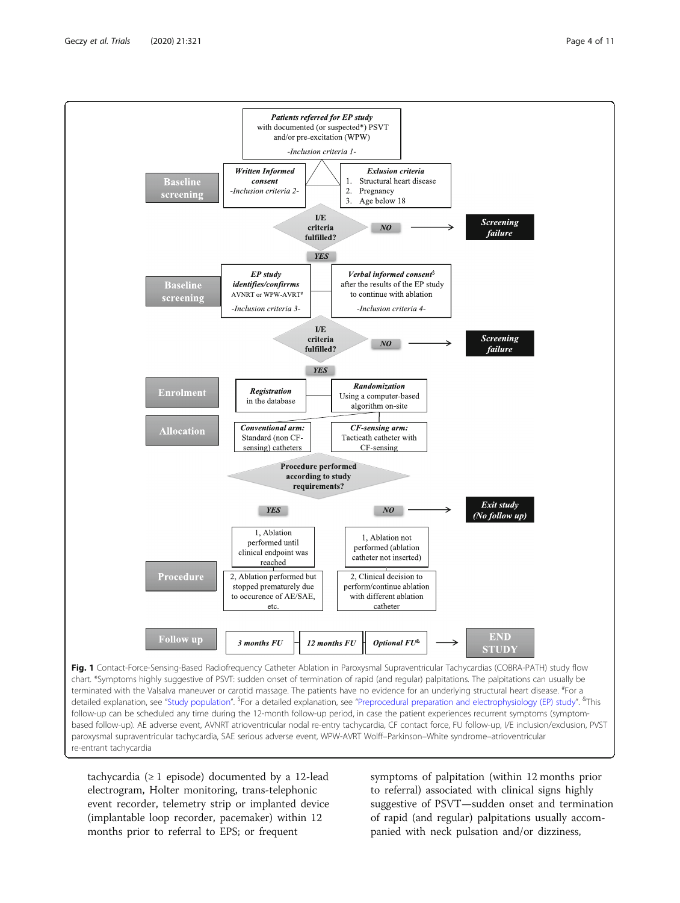<span id="page-3-0"></span>

paroxysmal supraventricular tachycardia, SAE serious adverse event, WPW-AVRT Wolff–Parkinson–White syndrome–atrioventricular re-entrant tachycardia

tachycardia (≥ 1 episode) documented by a 12-lead electrogram, Holter monitoring, trans-telephonic event recorder, telemetry strip or implanted device (implantable loop recorder, pacemaker) within 12 months prior to referral to EPS; or frequent

symptoms of palpitation (within 12 months prior to referral) associated with clinical signs highly suggestive of PSVT—sudden onset and termination of rapid (and regular) palpitations usually accompanied with neck pulsation and/or dizziness,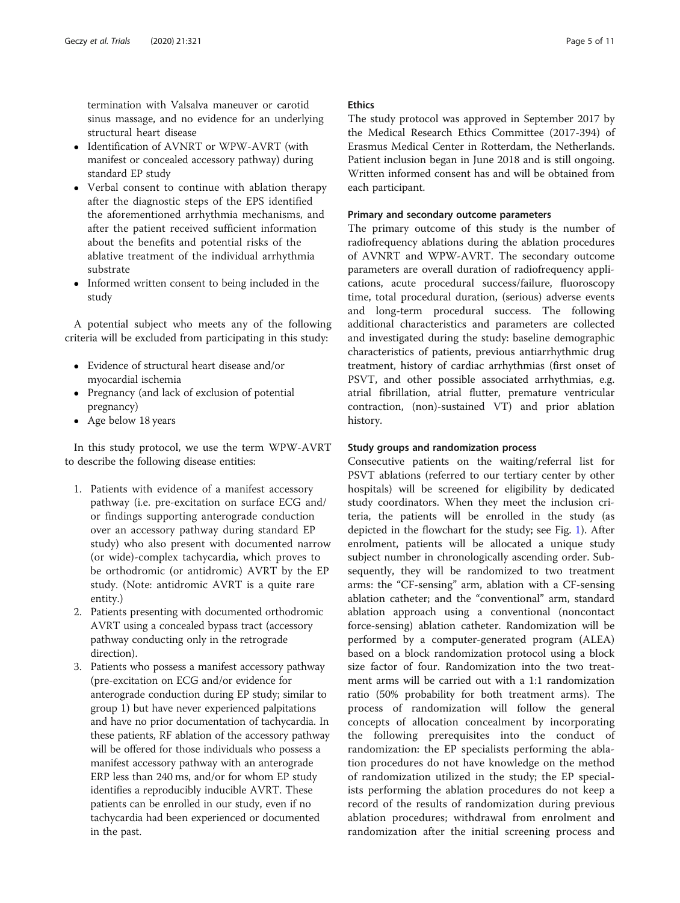termination with Valsalva maneuver or carotid sinus massage, and no evidence for an underlying structural heart disease

- Identification of AVNRT or WPW-AVRT (with manifest or concealed accessory pathway) during standard EP study
- Verbal consent to continue with ablation therapy after the diagnostic steps of the EPS identified the aforementioned arrhythmia mechanisms, and after the patient received sufficient information about the benefits and potential risks of the ablative treatment of the individual arrhythmia substrate
- Informed written consent to being included in the study

A potential subject who meets any of the following criteria will be excluded from participating in this study:

- Evidence of structural heart disease and/or myocardial ischemia
- Pregnancy (and lack of exclusion of potential pregnancy)
- Age below 18 years

In this study protocol, we use the term WPW-AVRT to describe the following disease entities:

- 1. Patients with evidence of a manifest accessory pathway (i.e. pre-excitation on surface ECG and/ or findings supporting anterograde conduction over an accessory pathway during standard EP study) who also present with documented narrow (or wide)-complex tachycardia, which proves to be orthodromic (or antidromic) AVRT by the EP study. (Note: antidromic AVRT is a quite rare entity.)
- 2. Patients presenting with documented orthodromic AVRT using a concealed bypass tract (accessory pathway conducting only in the retrograde direction).
- 3. Patients who possess a manifest accessory pathway (pre-excitation on ECG and/or evidence for anterograde conduction during EP study; similar to group 1) but have never experienced palpitations and have no prior documentation of tachycardia. In these patients, RF ablation of the accessory pathway will be offered for those individuals who possess a manifest accessory pathway with an anterograde ERP less than 240 ms, and/or for whom EP study identifies a reproducibly inducible AVRT. These patients can be enrolled in our study, even if no tachycardia had been experienced or documented in the past.

#### Ethics

The study protocol was approved in September 2017 by the Medical Research Ethics Committee (2017-394) of Erasmus Medical Center in Rotterdam, the Netherlands. Patient inclusion began in June 2018 and is still ongoing. Written informed consent has and will be obtained from each participant.

#### Primary and secondary outcome parameters

The primary outcome of this study is the number of radiofrequency ablations during the ablation procedures of AVNRT and WPW-AVRT. The secondary outcome parameters are overall duration of radiofrequency applications, acute procedural success/failure, fluoroscopy time, total procedural duration, (serious) adverse events and long-term procedural success. The following additional characteristics and parameters are collected and investigated during the study: baseline demographic characteristics of patients, previous antiarrhythmic drug treatment, history of cardiac arrhythmias (first onset of PSVT, and other possible associated arrhythmias, e.g. atrial fibrillation, atrial flutter, premature ventricular contraction, (non)-sustained VT) and prior ablation history.

#### Study groups and randomization process

Consecutive patients on the waiting/referral list for PSVT ablations (referred to our tertiary center by other hospitals) will be screened for eligibility by dedicated study coordinators. When they meet the inclusion criteria, the patients will be enrolled in the study (as depicted in the flowchart for the study; see Fig. [1\)](#page-3-0). After enrolment, patients will be allocated a unique study subject number in chronologically ascending order. Subsequently, they will be randomized to two treatment arms: the "CF-sensing" arm, ablation with a CF-sensing ablation catheter; and the "conventional" arm, standard ablation approach using a conventional (noncontact force-sensing) ablation catheter. Randomization will be performed by a computer-generated program (ALEA) based on a block randomization protocol using a block size factor of four. Randomization into the two treatment arms will be carried out with a 1:1 randomization ratio (50% probability for both treatment arms). The process of randomization will follow the general concepts of allocation concealment by incorporating the following prerequisites into the conduct of randomization: the EP specialists performing the ablation procedures do not have knowledge on the method of randomization utilized in the study; the EP specialists performing the ablation procedures do not keep a record of the results of randomization during previous ablation procedures; withdrawal from enrolment and randomization after the initial screening process and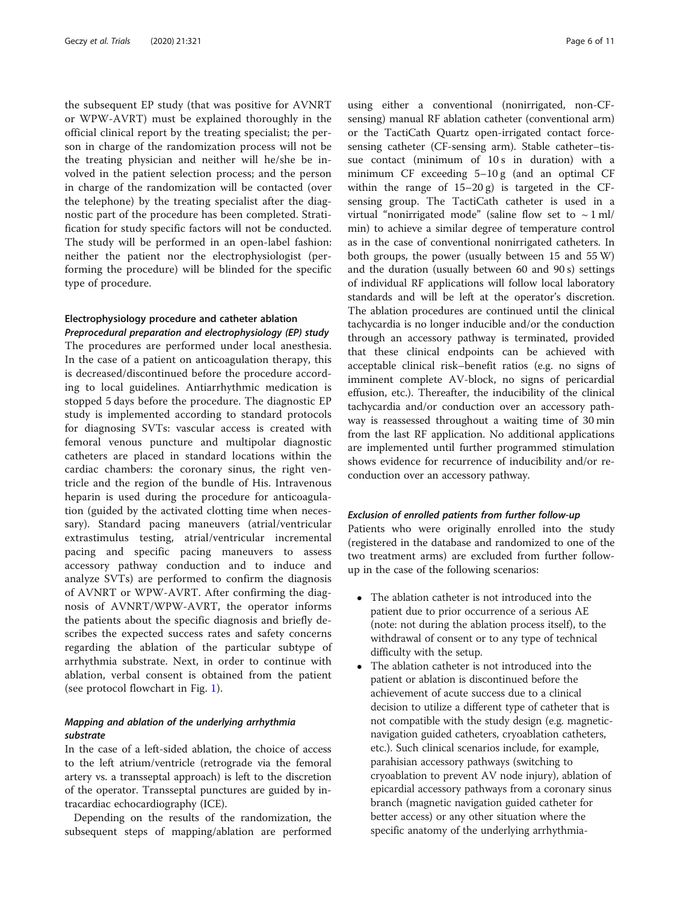<span id="page-5-0"></span>the subsequent EP study (that was positive for AVNRT or WPW-AVRT) must be explained thoroughly in the official clinical report by the treating specialist; the person in charge of the randomization process will not be the treating physician and neither will he/she be involved in the patient selection process; and the person in charge of the randomization will be contacted (over the telephone) by the treating specialist after the diagnostic part of the procedure has been completed. Stratification for study specific factors will not be conducted. The study will be performed in an open-label fashion: neither the patient nor the electrophysiologist (performing the procedure) will be blinded for the specific type of procedure.

#### Electrophysiology procedure and catheter ablation Preprocedural preparation and electrophysiology (EP) study

The procedures are performed under local anesthesia. In the case of a patient on anticoagulation therapy, this is decreased/discontinued before the procedure according to local guidelines. Antiarrhythmic medication is stopped 5 days before the procedure. The diagnostic EP study is implemented according to standard protocols for diagnosing SVTs: vascular access is created with femoral venous puncture and multipolar diagnostic catheters are placed in standard locations within the cardiac chambers: the coronary sinus, the right ventricle and the region of the bundle of His. Intravenous heparin is used during the procedure for anticoagulation (guided by the activated clotting time when necessary). Standard pacing maneuvers (atrial/ventricular extrastimulus testing, atrial/ventricular incremental pacing and specific pacing maneuvers to assess accessory pathway conduction and to induce and analyze SVTs) are performed to confirm the diagnosis of AVNRT or WPW-AVRT. After confirming the diagnosis of AVNRT/WPW-AVRT, the operator informs the patients about the specific diagnosis and briefly describes the expected success rates and safety concerns regarding the ablation of the particular subtype of arrhythmia substrate. Next, in order to continue with ablation, verbal consent is obtained from the patient (see protocol flowchart in Fig. [1\)](#page-3-0).

#### Mapping and ablation of the underlying arrhythmia substrate

In the case of a left-sided ablation, the choice of access to the left atrium/ventricle (retrograde via the femoral artery vs. a transseptal approach) is left to the discretion of the operator. Transseptal punctures are guided by intracardiac echocardiography (ICE).

Depending on the results of the randomization, the subsequent steps of mapping/ablation are performed

using either a conventional (nonirrigated, non-CFsensing) manual RF ablation catheter (conventional arm) or the TactiCath Quartz open-irrigated contact forcesensing catheter (CF-sensing arm). Stable catheter–tissue contact (minimum of 10 s in duration) with a minimum CF exceeding 5–10 g (and an optimal CF within the range of  $15-20 \text{ g}$  is targeted in the CFsensing group. The TactiCath catheter is used in a virtual "nonirrigated mode" (saline flow set to  $\sim 1$  ml/ min) to achieve a similar degree of temperature control as in the case of conventional nonirrigated catheters. In both groups, the power (usually between 15 and 55 W) and the duration (usually between 60 and 90 s) settings of individual RF applications will follow local laboratory standards and will be left at the operator's discretion. The ablation procedures are continued until the clinical tachycardia is no longer inducible and/or the conduction through an accessory pathway is terminated, provided that these clinical endpoints can be achieved with acceptable clinical risk–benefit ratios (e.g. no signs of imminent complete AV-block, no signs of pericardial effusion, etc.). Thereafter, the inducibility of the clinical tachycardia and/or conduction over an accessory pathway is reassessed throughout a waiting time of 30 min from the last RF application. No additional applications are implemented until further programmed stimulation shows evidence for recurrence of inducibility and/or reconduction over an accessory pathway.

#### Exclusion of enrolled patients from further follow-up

Patients who were originally enrolled into the study (registered in the database and randomized to one of the two treatment arms) are excluded from further followup in the case of the following scenarios:

- The ablation catheter is not introduced into the patient due to prior occurrence of a serious AE (note: not during the ablation process itself), to the withdrawal of consent or to any type of technical difficulty with the setup.
- The ablation catheter is not introduced into the patient or ablation is discontinued before the achievement of acute success due to a clinical decision to utilize a different type of catheter that is not compatible with the study design (e.g. magneticnavigation guided catheters, cryoablation catheters, etc.). Such clinical scenarios include, for example, parahisian accessory pathways (switching to cryoablation to prevent AV node injury), ablation of epicardial accessory pathways from a coronary sinus branch (magnetic navigation guided catheter for better access) or any other situation where the specific anatomy of the underlying arrhythmia-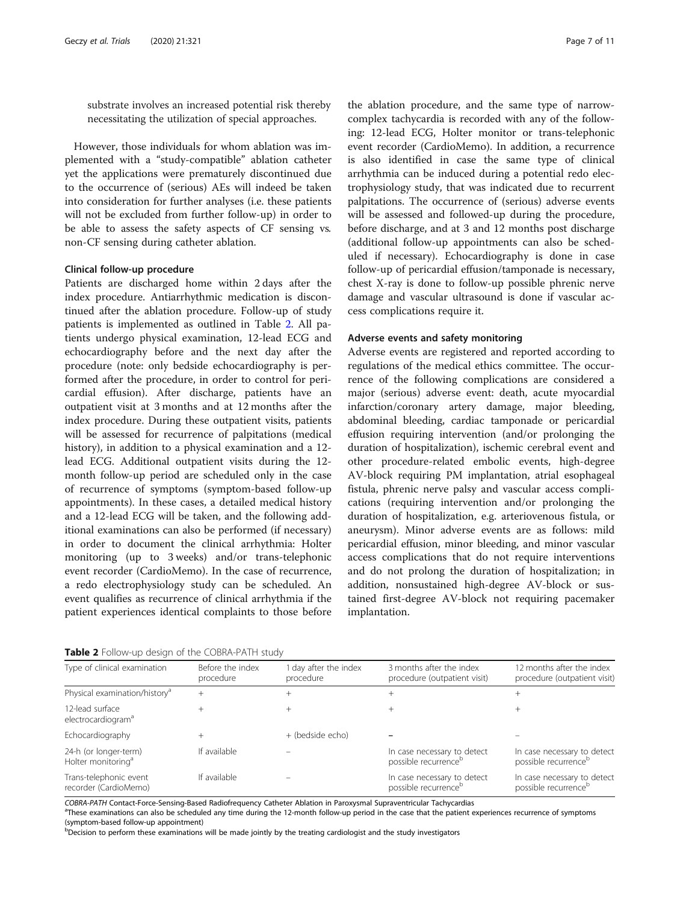substrate involves an increased potential risk thereby necessitating the utilization of special approaches.

However, those individuals for whom ablation was implemented with a "study-compatible" ablation catheter yet the applications were prematurely discontinued due to the occurrence of (serious) AEs will indeed be taken into consideration for further analyses (i.e. these patients will not be excluded from further follow-up) in order to be able to assess the safety aspects of CF sensing vs. non-CF sensing during catheter ablation.

#### Clinical follow-up procedure

Patients are discharged home within 2 days after the index procedure. Antiarrhythmic medication is discontinued after the ablation procedure. Follow-up of study patients is implemented as outlined in Table 2. All patients undergo physical examination, 12-lead ECG and echocardiography before and the next day after the procedure (note: only bedside echocardiography is performed after the procedure, in order to control for pericardial effusion). After discharge, patients have an outpatient visit at 3 months and at 12 months after the index procedure. During these outpatient visits, patients will be assessed for recurrence of palpitations (medical history), in addition to a physical examination and a 12 lead ECG. Additional outpatient visits during the 12 month follow-up period are scheduled only in the case of recurrence of symptoms (symptom-based follow-up appointments). In these cases, a detailed medical history and a 12-lead ECG will be taken, and the following additional examinations can also be performed (if necessary) in order to document the clinical arrhythmia: Holter monitoring (up to 3 weeks) and/or trans-telephonic event recorder (CardioMemo). In the case of recurrence, a redo electrophysiology study can be scheduled. An event qualifies as recurrence of clinical arrhythmia if the patient experiences identical complaints to those before

the ablation procedure, and the same type of narrowcomplex tachycardia is recorded with any of the following: 12-lead ECG, Holter monitor or trans-telephonic event recorder (CardioMemo). In addition, a recurrence is also identified in case the same type of clinical arrhythmia can be induced during a potential redo electrophysiology study, that was indicated due to recurrent palpitations. The occurrence of (serious) adverse events will be assessed and followed-up during the procedure, before discharge, and at 3 and 12 months post discharge (additional follow-up appointments can also be scheduled if necessary). Echocardiography is done in case follow-up of pericardial effusion/tamponade is necessary, chest X-ray is done to follow-up possible phrenic nerve damage and vascular ultrasound is done if vascular access complications require it.

#### Adverse events and safety monitoring

Adverse events are registered and reported according to regulations of the medical ethics committee. The occurrence of the following complications are considered a major (serious) adverse event: death, acute myocardial infarction/coronary artery damage, major bleeding, abdominal bleeding, cardiac tamponade or pericardial effusion requiring intervention (and/or prolonging the duration of hospitalization), ischemic cerebral event and other procedure-related embolic events, high-degree AV-block requiring PM implantation, atrial esophageal fistula, phrenic nerve palsy and vascular access complications (requiring intervention and/or prolonging the duration of hospitalization, e.g. arteriovenous fistula, or aneurysm). Minor adverse events are as follows: mild pericardial effusion, minor bleeding, and minor vascular access complications that do not require interventions and do not prolong the duration of hospitalization; in addition, nonsustained high-degree AV-block or sustained first-degree AV-block not requiring pacemaker implantation.

Table 2 Follow-up design of the COBRA-PATH study

| Type of clinical examination                            | Before the index<br>procedure | day after the index<br>procedure | 3 months after the index<br>procedure (outpatient visit)        | 12 months after the index<br>procedure (outpatient visit)       |
|---------------------------------------------------------|-------------------------------|----------------------------------|-----------------------------------------------------------------|-----------------------------------------------------------------|
| Physical examination/history <sup>a</sup>               | $^+$                          | $^+$                             |                                                                 |                                                                 |
| 12-lead surface<br>electrocardiogram <sup>a</sup>       | $^+$                          | $^{+}$                           |                                                                 |                                                                 |
| Echocardiography                                        |                               | + (bedside echo)                 |                                                                 |                                                                 |
| 24-h (or longer-term)<br>Holter monitoring <sup>a</sup> | If available                  |                                  | In case necessary to detect<br>possible recurrence <sup>b</sup> | In case necessary to detect<br>possible recurrence <sup>b</sup> |
| Trans-telephonic event<br>recorder (CardioMemo)         | If available                  |                                  | In case necessary to detect<br>possible recurrence <sup>b</sup> | In case necessary to detect<br>possible recurrence <sup>b</sup> |

COBRA-PATH Contact-Force-Sensing-Based Radiofrequency Catheter Ablation in Paroxysmal Supraventricular Tachycardias <sup>a</sup>

<sup>a</sup>These examinations can also be scheduled any time during the 12-month follow-up period in the case that the patient experiences recurrence of symptoms (symptom-based follow-up appointment)

**b** Decision to perform these examinations will be made jointly by the treating cardiologist and the study investigators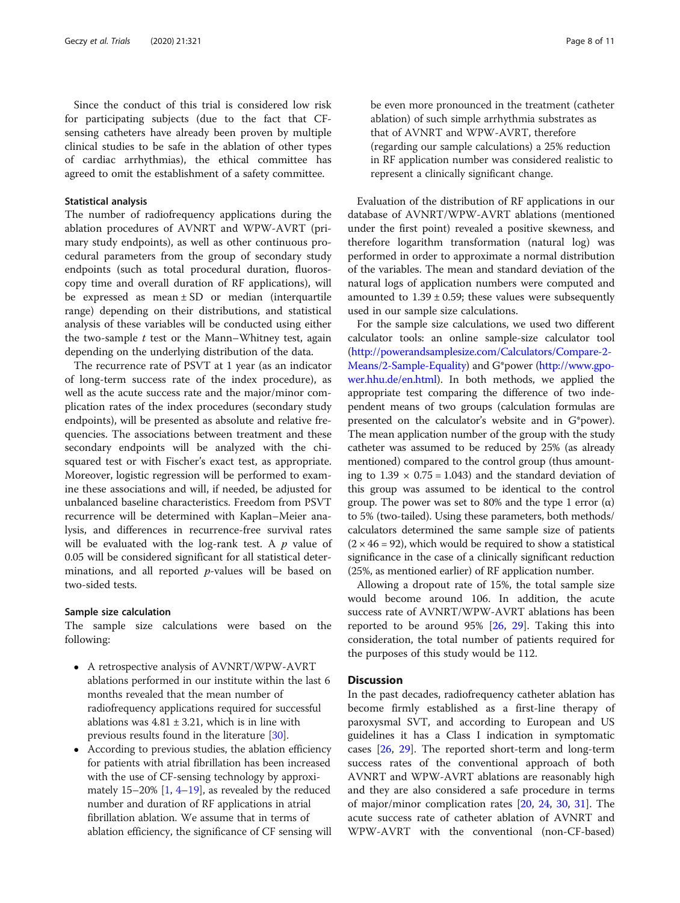Since the conduct of this trial is considered low risk for participating subjects (due to the fact that CFsensing catheters have already been proven by multiple clinical studies to be safe in the ablation of other types of cardiac arrhythmias), the ethical committee has agreed to omit the establishment of a safety committee.

#### Statistical analysis

The number of radiofrequency applications during the ablation procedures of AVNRT and WPW-AVRT (primary study endpoints), as well as other continuous procedural parameters from the group of secondary study endpoints (such as total procedural duration, fluoroscopy time and overall duration of RF applications), will be expressed as mean  $\pm$  SD or median (interquartile range) depending on their distributions, and statistical analysis of these variables will be conducted using either the two-sample  $t$  test or the Mann–Whitney test, again depending on the underlying distribution of the data.

The recurrence rate of PSVT at 1 year (as an indicator of long-term success rate of the index procedure), as well as the acute success rate and the major/minor complication rates of the index procedures (secondary study endpoints), will be presented as absolute and relative frequencies. The associations between treatment and these secondary endpoints will be analyzed with the chisquared test or with Fischer's exact test, as appropriate. Moreover, logistic regression will be performed to examine these associations and will, if needed, be adjusted for unbalanced baseline characteristics. Freedom from PSVT recurrence will be determined with Kaplan–Meier analysis, and differences in recurrence-free survival rates will be evaluated with the log-rank test. A  $p$  value of 0.05 will be considered significant for all statistical determinations, and all reported  $p$ -values will be based on two-sided tests.

#### Sample size calculation

The sample size calculations were based on the following:

- A retrospective analysis of AVNRT/WPW-AVRT ablations performed in our institute within the last 6 months revealed that the mean number of radiofrequency applications required for successful ablations was  $4.81 \pm 3.21$ , which is in line with previous results found in the literature [\[30\]](#page-10-0).
- According to previous studies, the ablation efficiency for patients with atrial fibrillation has been increased with the use of CF-sensing technology by approximately  $15-20\%$  [\[1](#page-9-0),  $4-19$  $4-19$ ], as revealed by the reduced number and duration of RF applications in atrial fibrillation ablation. We assume that in terms of ablation efficiency, the significance of CF sensing will

be even more pronounced in the treatment (catheter ablation) of such simple arrhythmia substrates as that of AVNRT and WPW-AVRT, therefore (regarding our sample calculations) a 25% reduction in RF application number was considered realistic to represent a clinically significant change.

Evaluation of the distribution of RF applications in our database of AVNRT/WPW-AVRT ablations (mentioned under the first point) revealed a positive skewness, and therefore logarithm transformation (natural log) was performed in order to approximate a normal distribution of the variables. The mean and standard deviation of the natural logs of application numbers were computed and amounted to  $1.39 \pm 0.59$ ; these values were subsequently used in our sample size calculations.

For the sample size calculations, we used two different calculator tools: an online sample-size calculator tool ([http://powerandsamplesize.com/Calculators/Compare-2-](http://powerandsamplesize.com/Calculators/Compare-2-Means/2-Sample-Equality) [Means/2-Sample-Equality](http://powerandsamplesize.com/Calculators/Compare-2-Means/2-Sample-Equality)) and G\*power [\(http://www.gpo](http://www.gpower.hhu.de/en.html)[wer.hhu.de/en.html\)](http://www.gpower.hhu.de/en.html). In both methods, we applied the appropriate test comparing the difference of two independent means of two groups (calculation formulas are presented on the calculator's website and in G\*power). The mean application number of the group with the study catheter was assumed to be reduced by 25% (as already mentioned) compared to the control group (thus amounting to  $1.39 \times 0.75 = 1.043$  and the standard deviation of this group was assumed to be identical to the control group. The power was set to 80% and the type 1 error (α) to 5% (two-tailed). Using these parameters, both methods/ calculators determined the same sample size of patients  $(2 \times 46 = 92)$ , which would be required to show a statistical significance in the case of a clinically significant reduction (25%, as mentioned earlier) of RF application number.

Allowing a dropout rate of 15%, the total sample size would become around 106. In addition, the acute success rate of AVNRT/WPW-AVRT ablations has been reported to be around 95% [[26](#page-10-0), [29](#page-10-0)]. Taking this into consideration, the total number of patients required for the purposes of this study would be 112.

#### **Discussion**

In the past decades, radiofrequency catheter ablation has become firmly established as a first-line therapy of paroxysmal SVT, and according to European and US guidelines it has a Class I indication in symptomatic cases [\[26,](#page-10-0) [29](#page-10-0)]. The reported short-term and long-term success rates of the conventional approach of both AVNRT and WPW-AVRT ablations are reasonably high and they are also considered a safe procedure in terms of major/minor complication rates [\[20,](#page-10-0) [24,](#page-10-0) [30](#page-10-0), [31](#page-10-0)]. The acute success rate of catheter ablation of AVNRT and WPW-AVRT with the conventional (non-CF-based)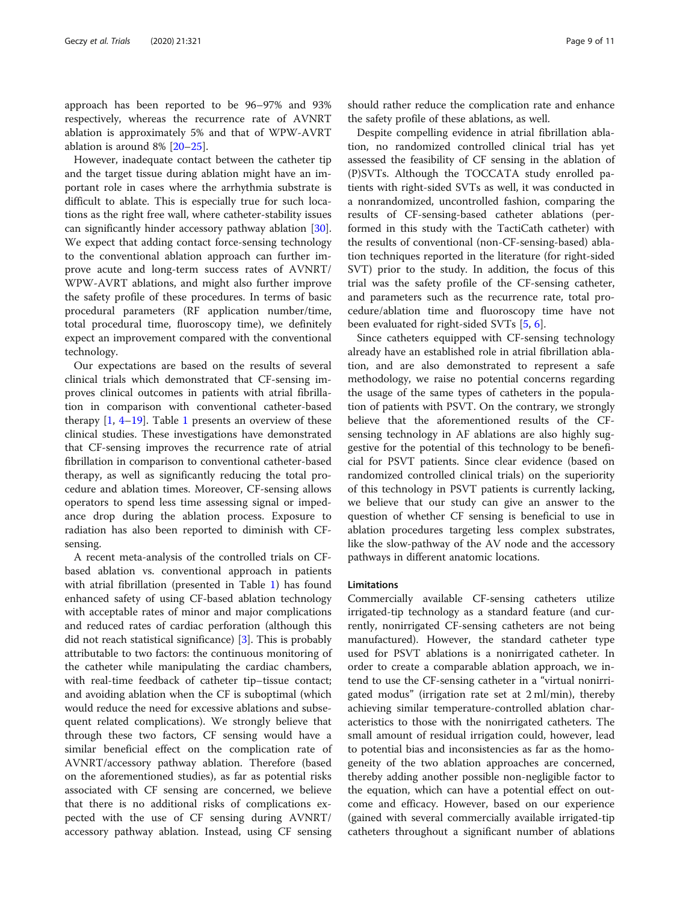approach has been reported to be 96–97% and 93% respectively, whereas the recurrence rate of AVNRT ablation is approximately 5% and that of WPW-AVRT ablation is around 8% [[20](#page-10-0)–[25](#page-10-0)].

However, inadequate contact between the catheter tip and the target tissue during ablation might have an important role in cases where the arrhythmia substrate is difficult to ablate. This is especially true for such locations as the right free wall, where catheter-stability issues can significantly hinder accessory pathway ablation [\[30](#page-10-0)]. We expect that adding contact force-sensing technology to the conventional ablation approach can further improve acute and long-term success rates of AVNRT/ WPW-AVRT ablations, and might also further improve the safety profile of these procedures. In terms of basic procedural parameters (RF application number/time, total procedural time, fluoroscopy time), we definitely expect an improvement compared with the conventional technology.

Our expectations are based on the results of several clinical trials which demonstrated that CF-sensing improves clinical outcomes in patients with atrial fibrillation in comparison with conventional catheter-based therapy  $[1, 4-19]$  $[1, 4-19]$  $[1, 4-19]$  $[1, 4-19]$  $[1, 4-19]$  $[1, 4-19]$ . Table [1](#page-2-0) presents an overview of these clinical studies. These investigations have demonstrated that CF-sensing improves the recurrence rate of atrial fibrillation in comparison to conventional catheter-based therapy, as well as significantly reducing the total procedure and ablation times. Moreover, CF-sensing allows operators to spend less time assessing signal or impedance drop during the ablation process. Exposure to radiation has also been reported to diminish with CFsensing.

A recent meta-analysis of the controlled trials on CFbased ablation vs. conventional approach in patients with atrial fibrillation (presented in Table [1\)](#page-2-0) has found enhanced safety of using CF-based ablation technology with acceptable rates of minor and major complications and reduced rates of cardiac perforation (although this did not reach statistical significance) [[3\]](#page-9-0). This is probably attributable to two factors: the continuous monitoring of the catheter while manipulating the cardiac chambers, with real-time feedback of catheter tip–tissue contact; and avoiding ablation when the CF is suboptimal (which would reduce the need for excessive ablations and subsequent related complications). We strongly believe that through these two factors, CF sensing would have a similar beneficial effect on the complication rate of AVNRT/accessory pathway ablation. Therefore (based on the aforementioned studies), as far as potential risks associated with CF sensing are concerned, we believe that there is no additional risks of complications expected with the use of CF sensing during AVNRT/ accessory pathway ablation. Instead, using CF sensing should rather reduce the complication rate and enhance the safety profile of these ablations, as well.

Despite compelling evidence in atrial fibrillation ablation, no randomized controlled clinical trial has yet assessed the feasibility of CF sensing in the ablation of (P)SVTs. Although the TOCCATA study enrolled patients with right-sided SVTs as well, it was conducted in a nonrandomized, uncontrolled fashion, comparing the results of CF-sensing-based catheter ablations (performed in this study with the TactiCath catheter) with the results of conventional (non-CF-sensing-based) ablation techniques reported in the literature (for right-sided SVT) prior to the study. In addition, the focus of this trial was the safety profile of the CF-sensing catheter, and parameters such as the recurrence rate, total procedure/ablation time and fluoroscopy time have not been evaluated for right-sided SVTs [\[5](#page-9-0), [6](#page-9-0)].

Since catheters equipped with CF-sensing technology already have an established role in atrial fibrillation ablation, and are also demonstrated to represent a safe methodology, we raise no potential concerns regarding the usage of the same types of catheters in the population of patients with PSVT. On the contrary, we strongly believe that the aforementioned results of the CFsensing technology in AF ablations are also highly suggestive for the potential of this technology to be beneficial for PSVT patients. Since clear evidence (based on randomized controlled clinical trials) on the superiority of this technology in PSVT patients is currently lacking, we believe that our study can give an answer to the question of whether CF sensing is beneficial to use in ablation procedures targeting less complex substrates, like the slow-pathway of the AV node and the accessory pathways in different anatomic locations.

#### Limitations

Commercially available CF-sensing catheters utilize irrigated-tip technology as a standard feature (and currently, nonirrigated CF-sensing catheters are not being manufactured). However, the standard catheter type used for PSVT ablations is a nonirrigated catheter. In order to create a comparable ablation approach, we intend to use the CF-sensing catheter in a "virtual nonirrigated modus" (irrigation rate set at 2 ml/min), thereby achieving similar temperature-controlled ablation characteristics to those with the nonirrigated catheters. The small amount of residual irrigation could, however, lead to potential bias and inconsistencies as far as the homogeneity of the two ablation approaches are concerned, thereby adding another possible non-negligible factor to the equation, which can have a potential effect on outcome and efficacy. However, based on our experience (gained with several commercially available irrigated-tip catheters throughout a significant number of ablations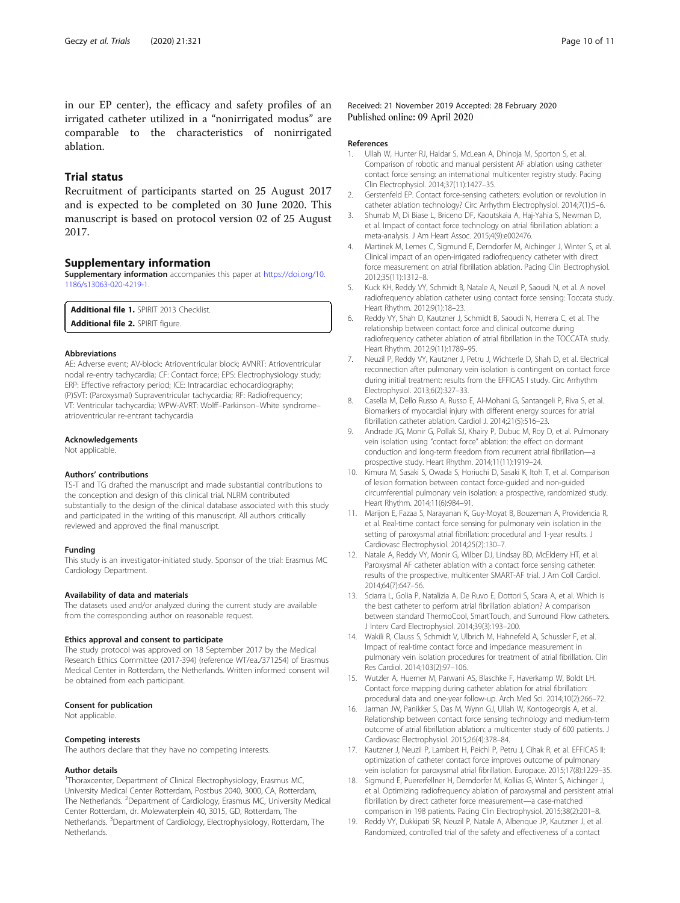<span id="page-9-0"></span>in our EP center), the efficacy and safety profiles of an irrigated catheter utilized in a "nonirrigated modus" are comparable to the characteristics of nonirrigated ablation.

#### Trial status

Recruitment of participants started on 25 August 2017 and is expected to be completed on 30 June 2020. This manuscript is based on protocol version 02 of 25 August 2017.

#### Supplementary information

Supplementary information accompanies this paper at [https://doi.org/10.](https://doi.org/10.1186/s13063-020-4219-1) [1186/s13063-020-4219-1.](https://doi.org/10.1186/s13063-020-4219-1)

Additional file 1. SPIRIT 2013 Checklist. Additional file 2. SPIRIT figure.

#### Abbreviations

AE: Adverse event; AV-block: Atrioventricular block; AVNRT: Atrioventricular nodal re-entry tachycardia; CF: Contact force; EPS: Electrophysiology study; ERP: Effective refractory period; ICE: Intracardiac echocardiography; (P)SVT: (Paroxysmal) Supraventricular tachycardia; RF: Radiofrequency; VT: Ventricular tachycardia; WPW-AVRT: Wolff–Parkinson–White syndrome– atrioventricular re-entrant tachycardia

#### Acknowledgements

Not applicable.

#### Authors' contributions

TS-T and TG drafted the manuscript and made substantial contributions to the conception and design of this clinical trial. NLRM contributed substantially to the design of the clinical database associated with this study and participated in the writing of this manuscript. All authors critically reviewed and approved the final manuscript.

#### Funding

This study is an investigator-initiated study. Sponsor of the trial: Erasmus MC Cardiology Department.

#### Availability of data and materials

The datasets used and/or analyzed during the current study are available from the corresponding author on reasonable request.

#### Ethics approval and consent to participate

The study protocol was approved on 18 September 2017 by the Medical Research Ethics Committee (2017-394) (reference WT/ea./371254) of Erasmus Medical Center in Rotterdam, the Netherlands. Written informed consent will be obtained from each participant.

#### Consent for publication

Not applicable.

#### Competing interests

The authors declare that they have no competing interests.

#### Author details

<sup>1</sup>Thoraxcenter, Department of Clinical Electrophysiology, Erasmus MC, University Medical Center Rotterdam, Postbus 2040, 3000, CA, Rotterdam, The Netherlands. <sup>2</sup>Department of Cardiology, Erasmus MC, University Medical Center Rotterdam, dr. Molewaterplein 40, 3015, GD, Rotterdam, The Netherlands. <sup>3</sup>Department of Cardiology, Electrophysiology, Rotterdam, The Netherlands.

#### Received: 21 November 2019 Accepted: 28 February 2020 Published online: 09 April 2020

#### References

- 1. Ullah W, Hunter RJ, Haldar S, McLean A, Dhinoja M, Sporton S, et al. Comparison of robotic and manual persistent AF ablation using catheter contact force sensing: an international multicenter registry study. Pacing Clin Electrophysiol. 2014;37(11):1427–35.
- 2. Gerstenfeld EP. Contact force-sensing catheters: evolution or revolution in catheter ablation technology? Circ Arrhythm Electrophysiol. 2014;7(1):5–6.
- 3. Shurrab M, Di Biase L, Briceno DF, Kaoutskaia A, Haj-Yahia S, Newman D, et al. Impact of contact force technology on atrial fibrillation ablation: a meta-analysis. J Am Heart Assoc. 2015;4(9):e002476.
- 4. Martinek M, Lemes C, Sigmund E, Derndorfer M, Aichinger J, Winter S, et al. Clinical impact of an open-irrigated radiofrequency catheter with direct force measurement on atrial fibrillation ablation. Pacing Clin Electrophysiol. 2012;35(11):1312–8.
- 5. Kuck KH, Reddy VY, Schmidt B, Natale A, Neuzil P, Saoudi N, et al. A novel radiofrequency ablation catheter using contact force sensing: Toccata study. Heart Rhythm. 2012;9(1):18–23.
- 6. Reddy VY, Shah D, Kautzner J, Schmidt B, Saoudi N, Herrera C, et al. The relationship between contact force and clinical outcome during radiofrequency catheter ablation of atrial fibrillation in the TOCCATA study. Heart Rhythm. 2012;9(11):1789–95.
- 7. Neuzil P, Reddy VY, Kautzner J, Petru J, Wichterle D, Shah D, et al. Electrical reconnection after pulmonary vein isolation is contingent on contact force during initial treatment: results from the EFFICAS I study. Circ Arrhythm Electrophysiol. 2013;6(2):327–33.
- 8. Casella M, Dello Russo A, Russo E, Al-Mohani G, Santangeli P, Riva S, et al. Biomarkers of myocardial injury with different energy sources for atrial fibrillation catheter ablation. Cardiol J. 2014;21(5):516–23.
- 9. Andrade JG, Monir G, Pollak SJ, Khairy P, Dubuc M, Roy D, et al. Pulmonary vein isolation using "contact force" ablation: the effect on dormant conduction and long-term freedom from recurrent atrial fibrillation—a prospective study. Heart Rhythm. 2014;11(11):1919–24.
- 10. Kimura M, Sasaki S, Owada S, Horiuchi D, Sasaki K, Itoh T, et al. Comparison of lesion formation between contact force-guided and non-guided circumferential pulmonary vein isolation: a prospective, randomized study. Heart Rhythm. 2014;11(6):984–91.
- 11. Marijon E, Fazaa S, Narayanan K, Guy-Moyat B, Bouzeman A, Providencia R, et al. Real-time contact force sensing for pulmonary vein isolation in the setting of paroxysmal atrial fibrillation: procedural and 1-year results. J Cardiovasc Electrophysiol. 2014;25(2):130–7.
- 12. Natale A, Reddy VY, Monir G, Wilber DJ, Lindsay BD, McElderry HT, et al. Paroxysmal AF catheter ablation with a contact force sensing catheter: results of the prospective, multicenter SMART-AF trial. J Am Coll Cardiol. 2014;64(7):647–56.
- 13. Sciarra L, Golia P, Natalizia A, De Ruvo E, Dottori S, Scara A, et al. Which is the best catheter to perform atrial fibrillation ablation? A comparison between standard ThermoCool, SmartTouch, and Surround Flow catheters. J Interv Card Electrophysiol. 2014;39(3):193–200.
- 14. Wakili R, Clauss S, Schmidt V, Ulbrich M, Hahnefeld A, Schussler F, et al. Impact of real-time contact force and impedance measurement in pulmonary vein isolation procedures for treatment of atrial fibrillation. Clin Res Cardiol. 2014;103(2):97–106.
- 15. Wutzler A, Huemer M, Parwani AS, Blaschke F, Haverkamp W, Boldt LH. Contact force mapping during catheter ablation for atrial fibrillation: procedural data and one-year follow-up. Arch Med Sci. 2014;10(2):266–72.
- 16. Jarman JW, Panikker S, Das M, Wynn GJ, Ullah W, Kontogeorgis A, et al. Relationship between contact force sensing technology and medium-term outcome of atrial fibrillation ablation: a multicenter study of 600 patients. J Cardiovasc Electrophysiol. 2015;26(4):378–84.
- 17. Kautzner J, Neuzil P, Lambert H, Peichl P, Petru J, Cihak R, et al. EFFICAS II: optimization of catheter contact force improves outcome of pulmonary vein isolation for paroxysmal atrial fibrillation. Europace. 2015;17(8):1229–35.
- 18. Sigmund E, Puererfellner H, Derndorfer M, Kollias G, Winter S, Aichinger J, et al. Optimizing radiofrequency ablation of paroxysmal and persistent atrial fibrillation by direct catheter force measurement—a case-matched comparison in 198 patients. Pacing Clin Electrophysiol. 2015;38(2):201–8.
- 19. Reddy VY, Dukkipati SR, Neuzil P, Natale A, Albenque JP, Kautzner J, et al. Randomized, controlled trial of the safety and effectiveness of a contact